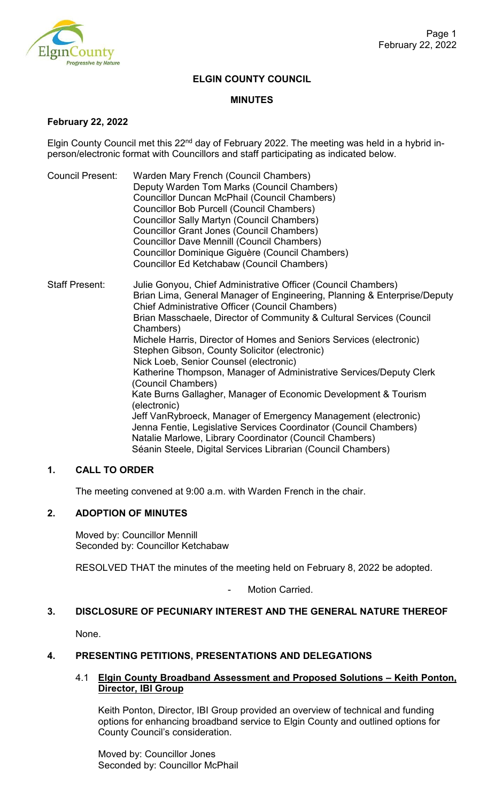

## **ELGIN COUNTY COUNCIL**

#### **MINUTES**

#### **February 22, 2022**

Elgin County Council met this  $22<sup>nd</sup>$  day of February 2022. The meeting was held in a hybrid inperson/electronic format with Councillors and staff participating as indicated below.

- Council Present: Warden Mary French (Council Chambers) Deputy Warden Tom Marks (Council Chambers) Councillor Duncan McPhail (Council Chambers) Councillor Bob Purcell (Council Chambers) Councillor Sally Martyn (Council Chambers) Councillor Grant Jones (Council Chambers) Councillor Dave Mennill (Council Chambers) Councillor Dominique Giguère (Council Chambers) Councillor Ed Ketchabaw (Council Chambers)
- Staff Present: Julie Gonyou, Chief Administrative Officer (Council Chambers) Brian Lima, General Manager of Engineering, Planning & Enterprise/Deputy Chief Administrative Officer (Council Chambers) Brian Masschaele, Director of Community & Cultural Services (Council Chambers) Michele Harris, Director of Homes and Seniors Services (electronic) Stephen Gibson, County Solicitor (electronic) Nick Loeb, Senior Counsel (electronic) Katherine Thompson, Manager of Administrative Services/Deputy Clerk (Council Chambers) Kate Burns Gallagher, Manager of Economic Development & Tourism (electronic) Jeff VanRybroeck, Manager of Emergency Management (electronic) Jenna Fentie, Legislative Services Coordinator (Council Chambers) Natalie Marlowe, Library Coordinator (Council Chambers) Séanin Steele, Digital Services Librarian (Council Chambers)

## **1. CALL TO ORDER**

The meeting convened at 9:00 a.m. with Warden French in the chair.

## **2. ADOPTION OF MINUTES**

Moved by: Councillor Mennill Seconded by: Councillor Ketchabaw

RESOLVED THAT the minutes of the meeting held on February 8, 2022 be adopted.

Motion Carried.

## **3. DISCLOSURE OF PECUNIARY INTEREST AND THE GENERAL NATURE THEREOF**

None.

## **4. PRESENTING PETITIONS, PRESENTATIONS AND DELEGATIONS**

## 4.1 **Elgin County Broadband Assessment and Proposed Solutions – Keith Ponton, Director, IBI Group**

Keith Ponton, Director, IBI Group provided an overview of technical and funding options for enhancing broadband service to Elgin County and outlined options for County Council's consideration.

Moved by: Councillor Jones Seconded by: Councillor McPhail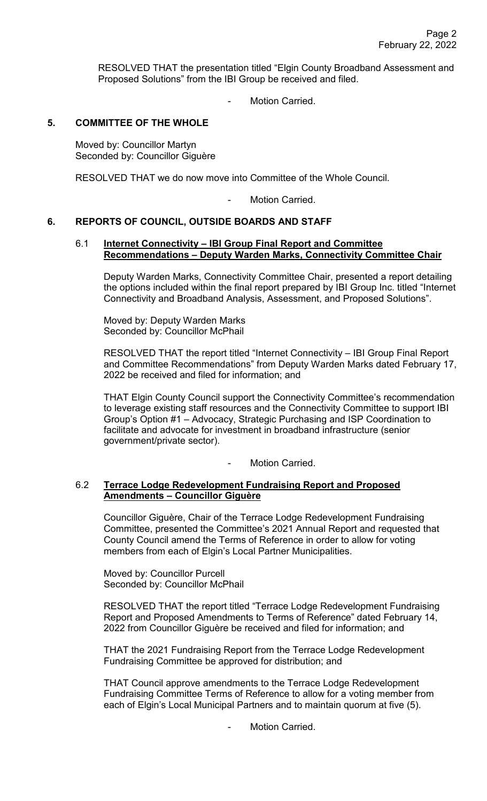RESOLVED THAT the presentation titled "Elgin County Broadband Assessment and Proposed Solutions" from the IBI Group be received and filed.

Motion Carried.

## **5. COMMITTEE OF THE WHOLE**

Moved by: Councillor Martyn Seconded by: Councillor Giguère

RESOLVED THAT we do now move into Committee of the Whole Council.

Motion Carried.

## **6. REPORTS OF COUNCIL, OUTSIDE BOARDS AND STAFF**

#### 6.1 **Internet Connectivity – IBI Group Final Report and Committee Recommendations – Deputy Warden Marks, Connectivity Committee Chair**

Deputy Warden Marks, Connectivity Committee Chair, presented a report detailing the options included within the final report prepared by IBI Group Inc. titled "Internet Connectivity and Broadband Analysis, Assessment, and Proposed Solutions".

Moved by: Deputy Warden Marks Seconded by: Councillor McPhail

RESOLVED THAT the report titled "Internet Connectivity – IBI Group Final Report and Committee Recommendations" from Deputy Warden Marks dated February 17, 2022 be received and filed for information; and

THAT Elgin County Council support the Connectivity Committee's recommendation to leverage existing staff resources and the Connectivity Committee to support IBI Group's Option #1 – Advocacy, Strategic Purchasing and ISP Coordination to facilitate and advocate for investment in broadband infrastructure (senior government/private sector).

Motion Carried.

## 6.2 **Terrace Lodge Redevelopment Fundraising Report and Proposed Amendments – Councillor Giguère**

Councillor Giguère, Chair of the Terrace Lodge Redevelopment Fundraising Committee, presented the Committee's 2021 Annual Report and requested that County Council amend the Terms of Reference in order to allow for voting members from each of Elgin's Local Partner Municipalities.

Moved by: Councillor Purcell Seconded by: Councillor McPhail

RESOLVED THAT the report titled "Terrace Lodge Redevelopment Fundraising Report and Proposed Amendments to Terms of Reference" dated February 14, 2022 from Councillor Giguère be received and filed for information; and

THAT the 2021 Fundraising Report from the Terrace Lodge Redevelopment Fundraising Committee be approved for distribution; and

THAT Council approve amendments to the Terrace Lodge Redevelopment Fundraising Committee Terms of Reference to allow for a voting member from each of Elgin's Local Municipal Partners and to maintain quorum at five (5).

Motion Carried.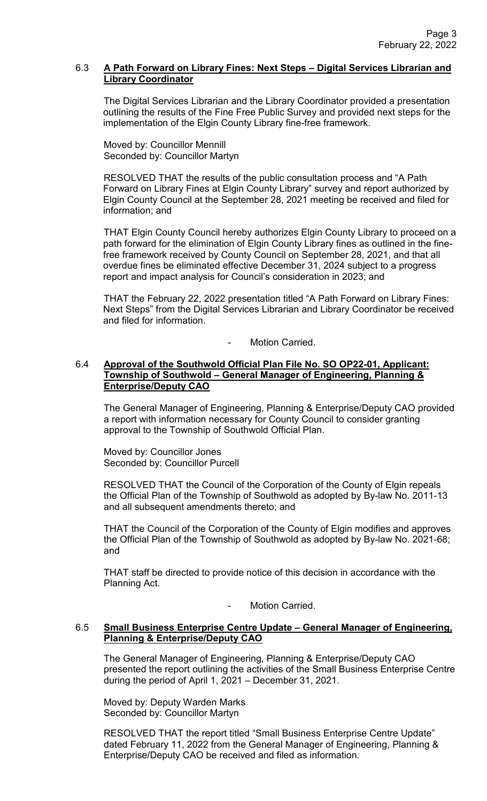## 6.3 **A Path Forward on Library Fines: Next Steps – Digital Services Librarian and Library Coordinator**

The Digital Services Librarian and the Library Coordinator provided a presentation outlining the results of the Fine Free Public Survey and provided next steps for the implementation of the Elgin County Library fine-free framework.

Moved by: Councillor Mennill Seconded by: Councillor Martyn

RESOLVED THAT the results of the public consultation process and "A Path Forward on Library Fines at Elgin County Library" survey and report authorized by Elgin County Council at the September 28, 2021 meeting be received and filed for information; and

THAT Elgin County Council hereby authorizes Elgin County Library to proceed on a path forward for the elimination of Elgin County Library fines as outlined in the finefree framework received by County Council on September 28, 2021, and that all overdue fines be eliminated effective December 31, 2024 subject to a progress report and impact analysis for Council's consideration in 2023; and

THAT the February 22, 2022 presentation titled "A Path Forward on Library Fines: Next Steps" from the Digital Services Librarian and Library Coordinator be received and filed for information.

Motion Carried.

## 6.4 **Approval of the Southwold Official Plan File No. SO OP22-01, Applicant: Township of Southwold – General Manager of Engineering, Planning & Enterprise/Deputy CAO**

The General Manager of Engineering, Planning & Enterprise/Deputy CAO provided a report with information necessary for County Council to consider granting approval to the Township of Southwold Official Plan.

Moved by: Councillor Jones Seconded by: Councillor Purcell

RESOLVED THAT the Council of the Corporation of the County of Elgin repeals the Official Plan of the Township of Southwold as adopted by By-law No. 2011-13 and all subsequent amendments thereto; and

THAT the Council of the Corporation of the County of Elgin modifies and approves the Official Plan of the Township of Southwold as adopted by By-law No. 2021-68; and

THAT staff be directed to provide notice of this decision in accordance with the Planning Act.

Motion Carried.

## 6.5 **Small Business Enterprise Centre Update – General Manager of Engineering, Planning & Enterprise/Deputy CAO**

The General Manager of Engineering, Planning & Enterprise/Deputy CAO presented the report outlining the activities of the Small Business Enterprise Centre during the period of April 1, 2021 – December 31, 2021.

Moved by: Deputy Warden Marks Seconded by: Councillor Martyn

RESOLVED THAT the report titled "Small Business Enterprise Centre Update" dated February 11, 2022 from the General Manager of Engineering, Planning & Enterprise/Deputy CAO be received and filed as information.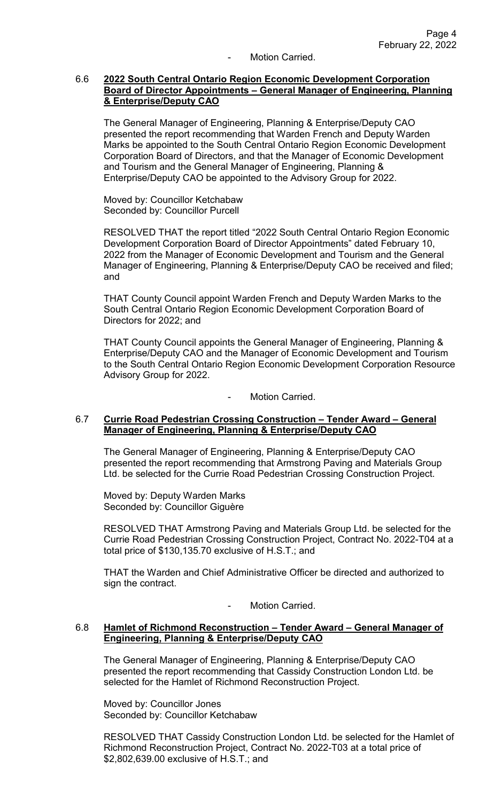Motion Carried.

#### 6.6 **2022 South Central Ontario Region Economic Development Corporation Board of Director Appointments – General Manager of Engineering, Planning & Enterprise/Deputy CAO**

The General Manager of Engineering, Planning & Enterprise/Deputy CAO presented the report recommending that Warden French and Deputy Warden Marks be appointed to the South Central Ontario Region Economic Development Corporation Board of Directors, and that the Manager of Economic Development and Tourism and the General Manager of Engineering, Planning & Enterprise/Deputy CAO be appointed to the Advisory Group for 2022.

Moved by: Councillor Ketchabaw Seconded by: Councillor Purcell

RESOLVED THAT the report titled "2022 South Central Ontario Region Economic Development Corporation Board of Director Appointments" dated February 10, 2022 from the Manager of Economic Development and Tourism and the General Manager of Engineering, Planning & Enterprise/Deputy CAO be received and filed; and

THAT County Council appoint Warden French and Deputy Warden Marks to the South Central Ontario Region Economic Development Corporation Board of Directors for 2022; and

THAT County Council appoints the General Manager of Engineering, Planning & Enterprise/Deputy CAO and the Manager of Economic Development and Tourism to the South Central Ontario Region Economic Development Corporation Resource Advisory Group for 2022.

Motion Carried.

## 6.7 **Currie Road Pedestrian Crossing Construction – Tender Award – General Manager of Engineering, Planning & Enterprise/Deputy CAO**

The General Manager of Engineering, Planning & Enterprise/Deputy CAO presented the report recommending that Armstrong Paving and Materials Group Ltd. be selected for the Currie Road Pedestrian Crossing Construction Project.

Moved by: Deputy Warden Marks Seconded by: Councillor Giguère

RESOLVED THAT Armstrong Paving and Materials Group Ltd. be selected for the Currie Road Pedestrian Crossing Construction Project, Contract No. 2022-T04 at a total price of \$130,135.70 exclusive of H.S.T.; and

THAT the Warden and Chief Administrative Officer be directed and authorized to sign the contract.

- Motion Carried.

#### 6.8 **Hamlet of Richmond Reconstruction – Tender Award – General Manager of Engineering, Planning & Enterprise/Deputy CAO**

The General Manager of Engineering, Planning & Enterprise/Deputy CAO presented the report recommending that Cassidy Construction London Ltd. be selected for the Hamlet of Richmond Reconstruction Project.

Moved by: Councillor Jones Seconded by: Councillor Ketchabaw

RESOLVED THAT Cassidy Construction London Ltd. be selected for the Hamlet of Richmond Reconstruction Project, Contract No. 2022-T03 at a total price of \$2,802,639.00 exclusive of H.S.T.; and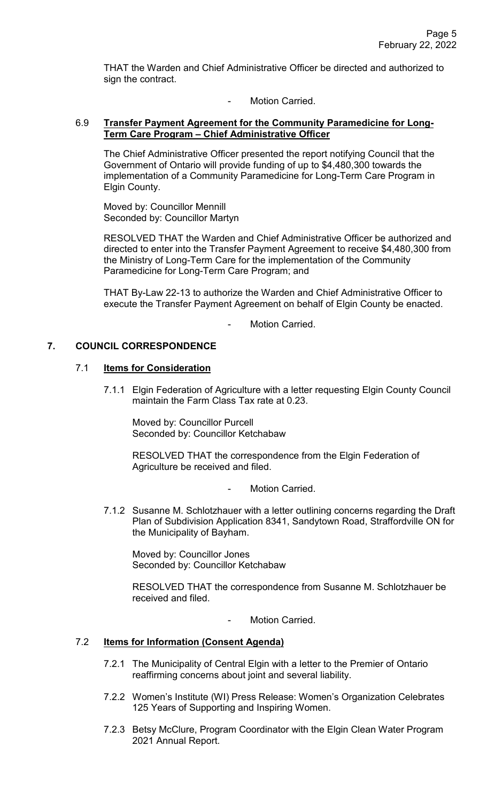THAT the Warden and Chief Administrative Officer be directed and authorized to sign the contract.

Motion Carried.

## 6.9 **Transfer Payment Agreement for the Community Paramedicine for Long-Term Care Program – Chief Administrative Officer**

The Chief Administrative Officer presented the report notifying Council that the Government of Ontario will provide funding of up to \$4,480,300 towards the implementation of a Community Paramedicine for Long-Term Care Program in Elgin County.

Moved by: Councillor Mennill Seconded by: Councillor Martyn

RESOLVED THAT the Warden and Chief Administrative Officer be authorized and directed to enter into the Transfer Payment Agreement to receive \$4,480,300 from the Ministry of Long-Term Care for the implementation of the Community Paramedicine for Long-Term Care Program; and

THAT By-Law 22-13 to authorize the Warden and Chief Administrative Officer to execute the Transfer Payment Agreement on behalf of Elgin County be enacted.

Motion Carried

## **7. COUNCIL CORRESPONDENCE**

## 7.1 **Items for Consideration**

7.1.1 Elgin Federation of Agriculture with a letter requesting Elgin County Council maintain the Farm Class Tax rate at 0.23.

Moved by: Councillor Purcell Seconded by: Councillor Ketchabaw

RESOLVED THAT the correspondence from the Elgin Federation of Agriculture be received and filed.

- Motion Carried.
- 7.1.2 Susanne M. Schlotzhauer with a letter outlining concerns regarding the Draft Plan of Subdivision Application 8341, Sandytown Road, Straffordville ON for the Municipality of Bayham.

Moved by: Councillor Jones Seconded by: Councillor Ketchabaw

RESOLVED THAT the correspondence from Susanne M. Schlotzhauer be received and filed.

Motion Carried.

# 7.2 **Items for Information (Consent Agenda)**

- 7.2.1 The Municipality of Central Elgin with a letter to the Premier of Ontario reaffirming concerns about joint and several liability.
- 7.2.2 Women's Institute (WI) Press Release: Women's Organization Celebrates 125 Years of Supporting and Inspiring Women.
- 7.2.3 Betsy McClure, Program Coordinator with the Elgin Clean Water Program 2021 Annual Report.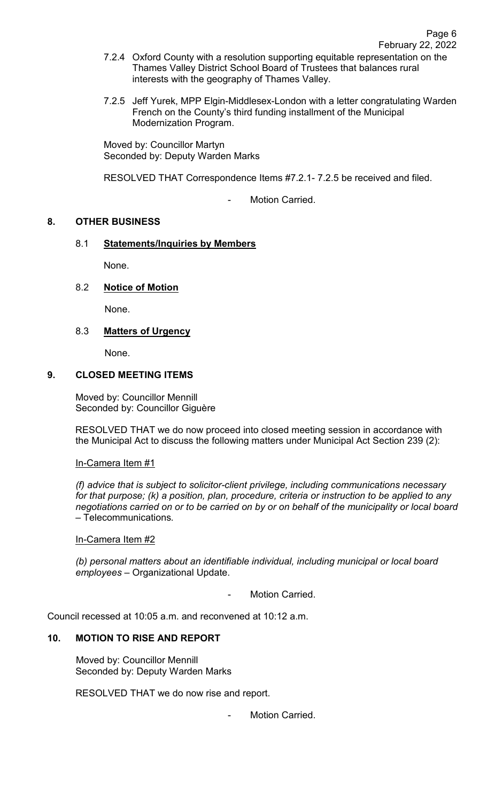- 7.2.4 Oxford County with a resolution supporting equitable representation on the Thames Valley District School Board of Trustees that balances rural interests with the geography of Thames Valley.
- 7.2.5 Jeff Yurek, MPP Elgin-Middlesex-London with a letter congratulating Warden French on the County's third funding installment of the Municipal Modernization Program.

Moved by: Councillor Martyn Seconded by: Deputy Warden Marks

RESOLVED THAT Correspondence Items #7.2.1- 7.2.5 be received and filed.

Motion Carried.

## **8. OTHER BUSINESS**

# 8.1 **Statements/Inquiries by Members**

None.

# 8.2 **Notice of Motion**

None.

# 8.3 **Matters of Urgency**

None.

## **9. CLOSED MEETING ITEMS**

Moved by: Councillor Mennill Seconded by: Councillor Giguère

RESOLVED THAT we do now proceed into closed meeting session in accordance with the Municipal Act to discuss the following matters under Municipal Act Section 239 (2):

In-Camera Item #1

*(f) advice that is subject to solicitor-client privilege, including communications necessary for that purpose; (k) a position, plan, procedure, criteria or instruction to be applied to any negotiations carried on or to be carried on by or on behalf of the municipality or local board* – Telecommunications*.* 

## In-Camera Item #2

*(b) personal matters about an identifiable individual, including municipal or local board employees* – Organizational Update.

Motion Carried.

Council recessed at 10:05 a.m. and reconvened at 10:12 a.m.

## **10. MOTION TO RISE AND REPORT**

Moved by: Councillor Mennill Seconded by: Deputy Warden Marks

RESOLVED THAT we do now rise and report.

Motion Carried.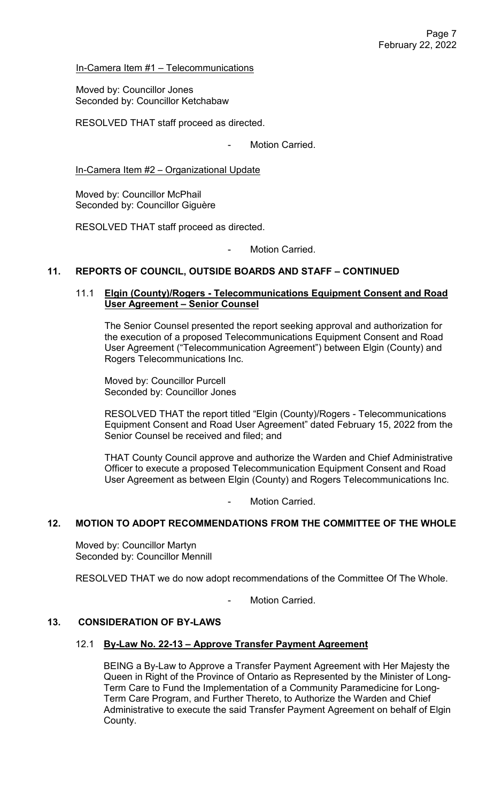In-Camera Item #1 – Telecommunications

Moved by: Councillor Jones Seconded by: Councillor Ketchabaw

RESOLVED THAT staff proceed as directed.

Motion Carried.

In-Camera Item #2 – Organizational Update

Moved by: Councillor McPhail Seconded by: Councillor Giguère

RESOLVED THAT staff proceed as directed.

Motion Carried.

## **11. REPORTS OF COUNCIL, OUTSIDE BOARDS AND STAFF – CONTINUED**

## 11.1 **Elgin (County)/Rogers - Telecommunications Equipment Consent and Road User Agreement – Senior Counsel**

The Senior Counsel presented the report seeking approval and authorization for the execution of a proposed Telecommunications Equipment Consent and Road User Agreement ("Telecommunication Agreement") between Elgin (County) and Rogers Telecommunications Inc.

Moved by: Councillor Purcell Seconded by: Councillor Jones

RESOLVED THAT the report titled "Elgin (County)/Rogers - Telecommunications Equipment Consent and Road User Agreement" dated February 15, 2022 from the Senior Counsel be received and filed; and

THAT County Council approve and authorize the Warden and Chief Administrative Officer to execute a proposed Telecommunication Equipment Consent and Road User Agreement as between Elgin (County) and Rogers Telecommunications Inc.

Motion Carried.

## **12. MOTION TO ADOPT RECOMMENDATIONS FROM THE COMMITTEE OF THE WHOLE**

Moved by: Councillor Martyn Seconded by: Councillor Mennill

RESOLVED THAT we do now adopt recommendations of the Committee Of The Whole.

Motion Carried.

#### **13. CONSIDERATION OF BY-LAWS**

#### 12.1 **By-Law No. 22-13 – Approve Transfer Payment Agreement**

BEING a By-Law to Approve a Transfer Payment Agreement with Her Majesty the Queen in Right of the Province of Ontario as Represented by the Minister of Long-Term Care to Fund the Implementation of a Community Paramedicine for Long-Term Care Program, and Further Thereto, to Authorize the Warden and Chief Administrative to execute the said Transfer Payment Agreement on behalf of Elgin County.